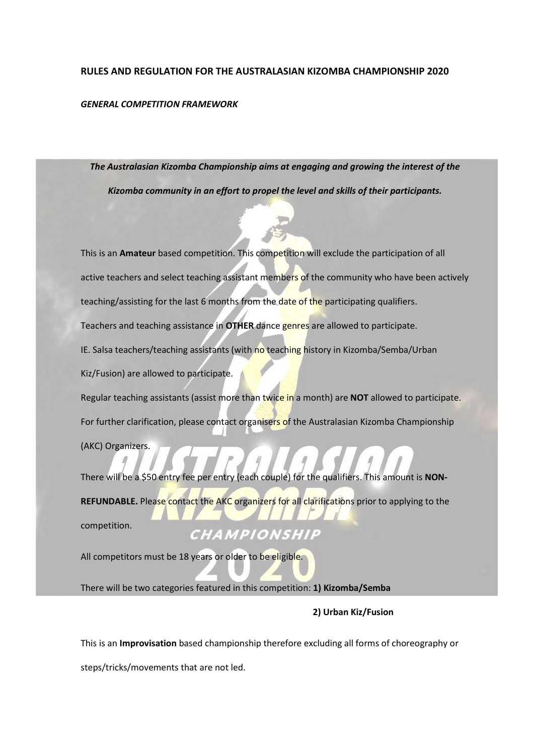#### RULES AND REGULATION FOR THE AUSTRALASIAN KIZOMBA CHAMPIONSHIP 2020

#### GENERAL COMPETITION FRAMEWORK

The Australasian Kizomba Championship aims at engaging and growing the interest of the Kizomba community in an effort to propel the level and skills of their participants.

This is an Amateur based competition. This competition will exclude the participation of all active teachers and select teaching assistant members of the community who have been actively teaching/assisting for the last 6 months from the date of the participating qualifiers. Teachers and teaching assistance in OTHER dance genres are allowed to participate. IE. Salsa teachers/teaching assistants (with no teaching history in Kizomba/Semba/Urban Kiz/Fusion) are allowed to participate. Regular teaching assistants (assist more than twice in a month) are NOT allowed to participate. For further clarification, please contact organisers of the Australasian Kizomba Championship

(AKC) Organizers.

There will be a \$50 entry fee per entry (each couple) for the qualifiers. This amount is NON-REFUNDABLE. Please contact the AKC organizers for all clarifications prior to applying to the competition. CHAMPIONSHIP

All competitors must be 18 years or older to be eligible.

There will be two categories featured in this competition: 1) Kizomba/Semba

# 2) Urban Kiz/Fusion

This is an Improvisation based championship therefore excluding all forms of choreography or steps/tricks/movements that are not led.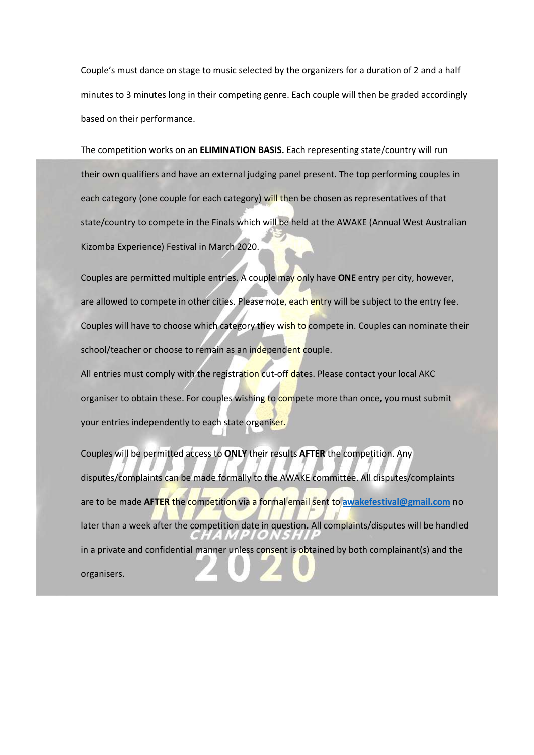Couple's must dance on stage to music selected by the organizers for a duration of 2 and a half minutes to 3 minutes long in their competing genre. Each couple will then be graded accordingly based on their performance.

The competition works on an ELIMINATION BASIS. Each representing state/country will run their own qualifiers and have an external judging panel present. The top performing couples in each category (one couple for each category) will then be chosen as representatives of that state/country to compete in the Finals which will be held at the AWAKE (Annual West Australian Kizomba Experience) Festival in March 2020.

Couples are permitted multiple entries. A couple may only have ONE entry per city, however, are allowed to compete in other cities. Please note, each entry will be subject to the entry fee. Couples will have to choose which category they wish to compete in. Couples can nominate their school/teacher or choose to remain as an independent couple.

All entries must comply with the registration cut-off dates. Please contact your local AKC organiser to obtain these. For couples wishing to compete more than once, you must submit your entries independently to each state organiser.

Couples will be permitted access to ONLY their results AFTER the competition. Any disputes/complaints can be made formally to the AWAKE committee. All disputes/complaints are to be made AFTER the competition via a formal email sent to awakefestival@gmail.com no later than a week after the competition date in question. All complaints/disputes will be handled in a private and confidential manner unless consent is obtained by both complainant(s) and the organisers.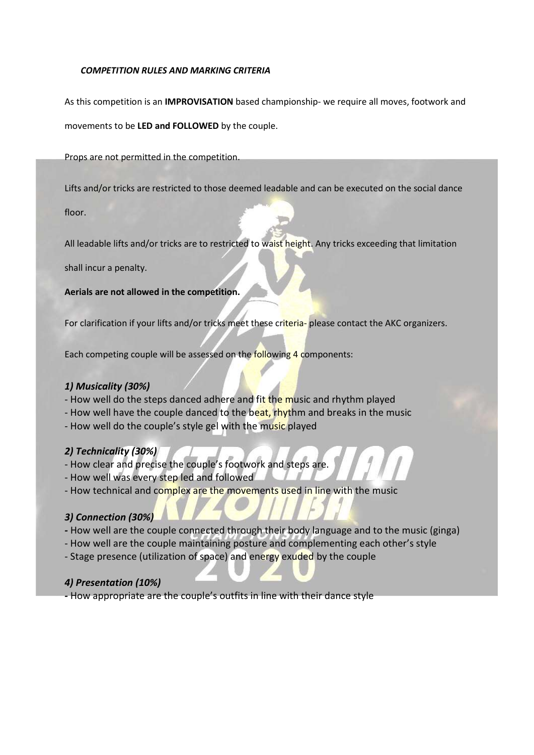### COMPETITION RULES AND MARKING CRITERIA

As this competition is an **IMPROVISATION** based championship- we require all moves, footwork and movements to be LED and FOLLOWED by the couple.

Props are not permitted in the competition.

Lifts and/or tricks are restricted to those deemed leadable and can be executed on the social dance

floor.

All leadable lifts and/or tricks are to restricted to waist height. Any tricks exceeding that limitation

shall incur a penalty.

Aerials are not allowed in the competition.

For clarification if your lifts and/or tricks meet these criteria- please contact the AKC organizers.

Each competing couple will be assessed on the following 4 components:

# 1) Musicality (30%)

- How well do the steps danced adhere and fit the music and rhythm played
- How well have the couple danced to the beat, rhythm and breaks in the music
- How well do the couple's style gel with the music played

# 2) Technicality (30%)

- How clear and precise the couple's footwork and steps are.
- How well was every step led and followed
- How technical and complex are the movements used in line with the music

# 3) Connection (30%)

- How well are the couple connected through their body language and to the music (ginga)
- How well are the couple maintaining posture and complementing each other's style
- Stage presence (utilization of space) and energy exuded by the couple

# 4) Presentation (10%)

- How appropriate are the couple's outfits in line with their dance style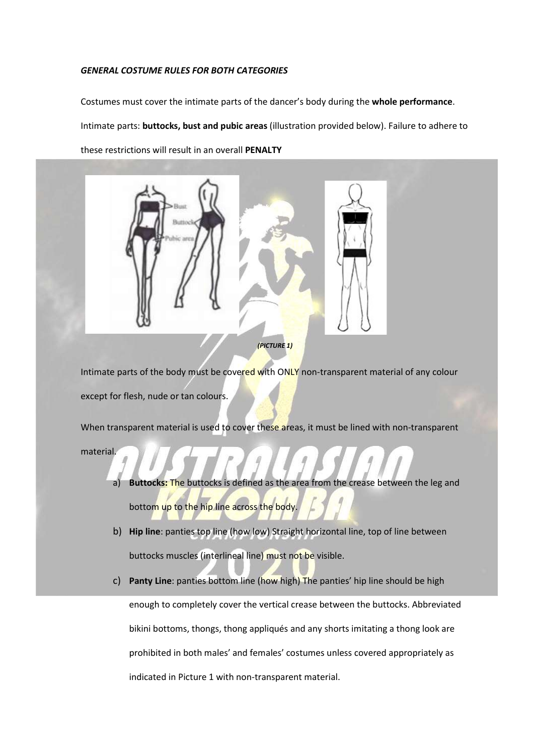#### GENERAL COSTUME RULES FOR BOTH CATEGORIES

Costumes must cover the intimate parts of the dancer's body during the whole performance. Intimate parts: buttocks, bust and pubic areas (illustration provided below). Failure to adhere to these restrictions will result in an overall PENALTY





Intimate parts of the body must be covered with ONLY non-transparent material of any colour except for flesh, nude or tan colours.

When transparent material is used to cover these areas, it must be lined with non-transparent material.

- Buttocks: The buttocks is defined as the area from the crease between the leg and bottom up to the hip line across the body.
- b) Hip line: panties top line (how low) Straight horizontal line, top of line between buttocks muscles (interlineal line) must not be visible.
- c) Panty Line: panties bottom line (how high) The panties' hip line should be high enough to completely cover the vertical crease between the buttocks. Abbreviated bikini bottoms, thongs, thong appliqués and any shorts imitating a thong look are prohibited in both males' and females' costumes unless covered appropriately as indicated in Picture 1 with non-transparent material.